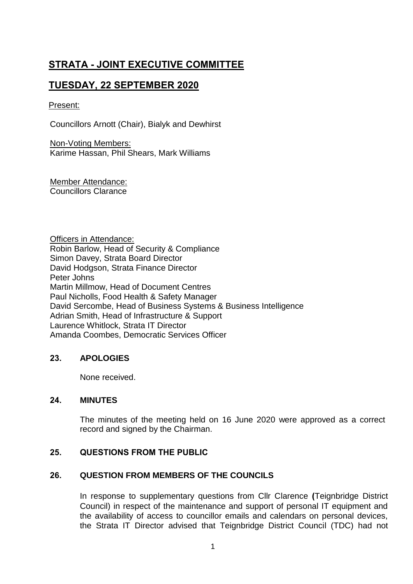# **STRATA - JOINT EXECUTIVE COMMITTEE**

## **TUESDAY, 22 SEPTEMBER 2020**

#### Present:

Councillors Arnott (Chair), Bialyk and Dewhirst

Non-Voting Members: Karime Hassan, Phil Shears, Mark Williams

Member Attendance: Councillors Clarance

Officers in Attendance: Robin Barlow, Head of Security & Compliance Simon Davey, Strata Board Director David Hodgson, Strata Finance Director Peter Johns Martin Millmow, Head of Document Centres Paul Nicholls, Food Health & Safety Manager David Sercombe, Head of Business Systems & Business Intelligence Adrian Smith, Head of Infrastructure & Support Laurence Whitlock, Strata IT Director Amanda Coombes, Democratic Services Officer

## **23. APOLOGIES**

None received.

## **24. MINUTES**

The minutes of the meeting held on 16 June 2020 were approved as a correct record and signed by the Chairman.

## **25. QUESTIONS FROM THE PUBLIC**

#### **26. QUESTION FROM MEMBERS OF THE COUNCILS**

In response to supplementary questions from Cllr Clarence (Teignbridge District Council) in respect of the maintenance and support of personal IT equipment and the availability of access to councillor emails and calendars on personal devices, the Strata IT Director advised that Teignbridge District Council (TDC) had not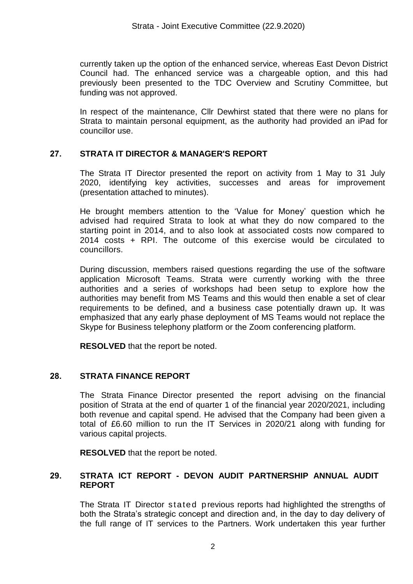currently taken up the option of the enhanced service, whereas East Devon District Council had. The enhanced service was a chargeable option, and this had previously been presented to the TDC Overview and Scrutiny Committee, but funding was not approved.

In respect of the maintenance, Cllr Dewhirst stated that there were no plans for Strata to maintain personal equipment, as the authority had provided an iPad for councillor use.

## **27. STRATA IT DIRECTOR & MANAGER'S REPORT**

The Strata IT Director presented the report on activity from 1 May to 31 July 2020, identifying key activities, successes and areas for improvement (presentation attached to minutes).

He brought members attention to the 'Value for Money' question which he advised had required Strata to look at what they do now compared to the starting point in 2014, and to also look at associated costs now compared to 2014 costs + RPI. The outcome of this exercise would be circulated to councillors.

During discussion, members raised questions regarding the use of the software application Microsoft Teams. Strata were currently working with the three authorities and a series of workshops had been setup to explore how the authorities may benefit from MS Teams and this would then enable a set of clear requirements to be defined, and a business case potentially drawn up. It was emphasized that any early phase deployment of MS Teams would not replace the Skype for Business telephony platform or the Zoom conferencing platform.

**RESOLVED** that the report be noted.

## **28. STRATA FINANCE REPORT**

The Strata Finance Director presented the report advising on the financial position of Strata at the end of quarter 1 of the financial year 2020/2021, including both revenue and capital spend. He advised that the Company had been given a total of £6.60 million to run the IT Services in 2020/21 along with funding for various capital projects.

**RESOLVED** that the report be noted.

#### **29. STRATA ICT REPORT - DEVON AUDIT PARTNERSHIP ANNUAL AUDIT REPORT**

The Strata IT Director stated p revious reports had highlighted the strengths of both the Strata's strategic concept and direction and, in the day to day delivery of the full range of IT services to the Partners. Work undertaken this year further